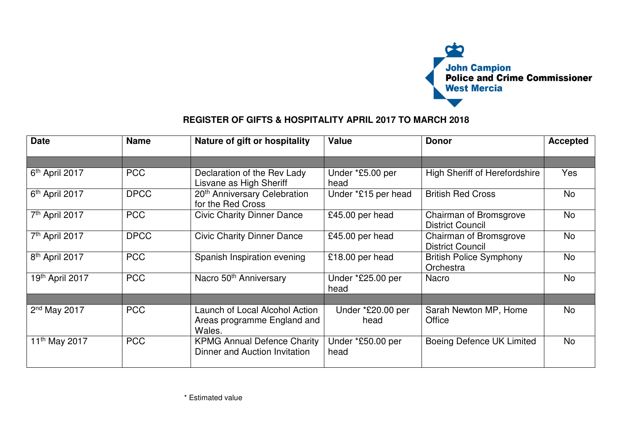

## **REGISTER OF GIFTS & HOSPITALITY APRIL 2017 TO MARCH 2018**

| <b>Date</b>                | <b>Name</b> | Nature of gift or hospitality                                           | <b>Value</b>              | <b>Donor</b>                                      | <b>Accepted</b> |
|----------------------------|-------------|-------------------------------------------------------------------------|---------------------------|---------------------------------------------------|-----------------|
|                            |             |                                                                         |                           |                                                   |                 |
| 6 <sup>th</sup> April 2017 | <b>PCC</b>  | Declaration of the Rev Lady<br>Lisvane as High Sheriff                  | Under *£5.00 per<br>head  | <b>High Sheriff of Herefordshire</b>              | Yes             |
| 6 <sup>th</sup> April 2017 | <b>DPCC</b> | 20 <sup>th</sup> Anniversary Celebration<br>for the Red Cross           | Under *£15 per head       | <b>British Red Cross</b>                          | No              |
| 7 <sup>th</sup> April 2017 | <b>PCC</b>  | <b>Civic Charity Dinner Dance</b>                                       | £45.00 per head           | Chairman of Bromsgrove<br><b>District Council</b> | <b>No</b>       |
| 7 <sup>th</sup> April 2017 | <b>DPCC</b> | <b>Civic Charity Dinner Dance</b>                                       | £45.00 per head           | Chairman of Bromsgrove<br><b>District Council</b> | No              |
| 8 <sup>th</sup> April 2017 | <b>PCC</b>  | Spanish Inspiration evening                                             | £18.00 per head           | <b>British Police Symphony</b><br>Orchestra       | No              |
| 19th April 2017            | <b>PCC</b>  | Nacro 50 <sup>th</sup> Anniversary                                      | Under *£25.00 per<br>head | <b>Nacro</b>                                      | No              |
|                            |             |                                                                         |                           |                                                   |                 |
| $2nd$ May 2017             | <b>PCC</b>  | Launch of Local Alcohol Action<br>Areas programme England and<br>Wales. | Under *£20.00 per<br>head | Sarah Newton MP, Home<br>Office                   | No              |
| 11 <sup>th</sup> May 2017  | <b>PCC</b>  | <b>KPMG Annual Defence Charity</b><br>Dinner and Auction Invitation     | Under *£50.00 per<br>head | Boeing Defence UK Limited                         | No              |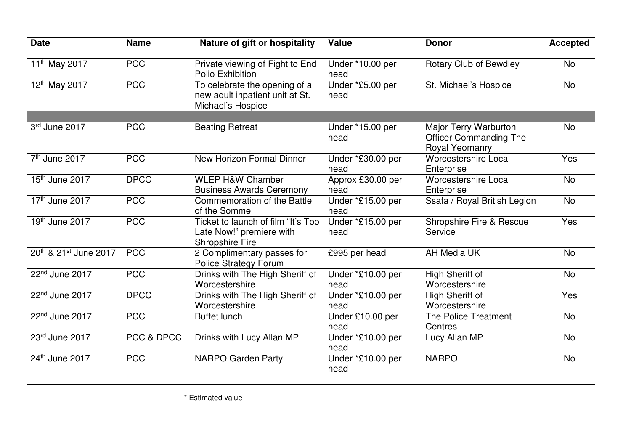| <b>Date</b>                | <b>Name</b> | Nature of gift or hospitality                                                            | <b>Value</b>              | <b>Donor</b>                                                                    | <b>Accepted</b> |
|----------------------------|-------------|------------------------------------------------------------------------------------------|---------------------------|---------------------------------------------------------------------------------|-----------------|
| 11 <sup>th</sup> May 2017  | <b>PCC</b>  | Private viewing of Fight to End<br>Polio Exhibition                                      | Under *10.00 per<br>head  | <b>Rotary Club of Bewdley</b>                                                   | <b>No</b>       |
| 12 <sup>th</sup> May 2017  | <b>PCC</b>  | To celebrate the opening of a<br>new adult inpatient unit at St.<br>Michael's Hospice    | Under *£5.00 per<br>head  | St. Michael's Hospice                                                           | <b>No</b>       |
|                            |             |                                                                                          |                           |                                                                                 |                 |
| 3rd June 2017              | <b>PCC</b>  | <b>Beating Retreat</b>                                                                   | Under *15.00 per<br>head  | <b>Major Terry Warburton</b><br><b>Officer Commanding The</b><br>Royal Yeomanry | <b>No</b>       |
| 7 <sup>th</sup> June 2017  | <b>PCC</b>  | New Horizon Formal Dinner                                                                | Under *£30.00 per<br>head | <b>Worcestershire Local</b><br>Enterprise                                       | Yes             |
| 15 <sup>th</sup> June 2017 | <b>DPCC</b> | <b>WLEP H&amp;W Chamber</b><br><b>Business Awards Ceremony</b>                           | Approx £30.00 per<br>head | <b>Worcestershire Local</b><br>Enterprise                                       | <b>No</b>       |
| 17 <sup>th</sup> June 2017 | <b>PCC</b>  | Commemoration of the Battle<br>of the Somme                                              | Under *£15.00 per<br>head | Ssafa / Royal British Legion                                                    | <b>No</b>       |
| 19th June 2017             | <b>PCC</b>  | Ticket to launch of film "It's Too<br>Late Now!" premiere with<br><b>Shropshire Fire</b> | Under *£15.00 per<br>head | <b>Shropshire Fire &amp; Rescue</b><br>Service                                  | Yes             |
| 20th & 21st June 2017      | <b>PCC</b>  | 2 Complimentary passes for<br><b>Police Strategy Forum</b>                               | £995 per head             | <b>AH Media UK</b>                                                              | <b>No</b>       |
| 22 <sup>nd</sup> June 2017 | <b>PCC</b>  | Drinks with The High Sheriff of<br>Worcestershire                                        | Under *£10.00 per<br>head | High Sheriff of<br>Worcestershire                                               | <b>No</b>       |
| $22nd$ June 2017           | <b>DPCC</b> | Drinks with The High Sheriff of<br>Worcestershire                                        | Under *£10.00 per<br>head | High Sheriff of<br>Worcestershire                                               | Yes             |
| 22 <sup>nd</sup> June 2017 | <b>PCC</b>  | <b>Buffet lunch</b>                                                                      | Under £10.00 per<br>head  | The Police Treatment<br>Centres                                                 | <b>No</b>       |
| 23rd June 2017             | PCC & DPCC  | Drinks with Lucy Allan MP                                                                | Under *£10.00 per<br>head | Lucy Allan MP                                                                   | <b>No</b>       |
| 24th June 2017             | <b>PCC</b>  | <b>NARPO Garden Party</b>                                                                | Under *£10.00 per<br>head | <b>NARPO</b>                                                                    | <b>No</b>       |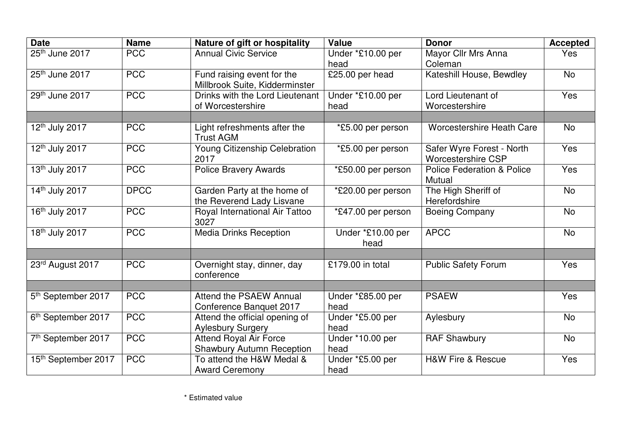| <b>Date</b>                     | <b>Name</b> | Nature of gift or hospitality                                     | <b>Value</b>              | <b>Donor</b>                                           | <b>Accepted</b> |
|---------------------------------|-------------|-------------------------------------------------------------------|---------------------------|--------------------------------------------------------|-----------------|
| 25th June 2017                  | <b>PCC</b>  | <b>Annual Civic Service</b>                                       | Under *£10.00 per<br>head | Mayor Cllr Mrs Anna<br>Coleman                         | Yes             |
| 25th June 2017                  | <b>PCC</b>  | Fund raising event for the<br>Millbrook Suite, Kidderminster      | £25.00 per head           | Kateshill House, Bewdley                               | <b>No</b>       |
| 29th June 2017                  | <b>PCC</b>  | Drinks with the Lord Lieutenant<br>of Worcestershire              | Under *£10.00 per<br>head | Lord Lieutenant of<br>Worcestershire                   | Yes             |
| 12th July 2017                  | <b>PCC</b>  | Light refreshments after the<br><b>Trust AGM</b>                  | *£5.00 per person         | <b>Worcestershire Heath Care</b>                       | <b>No</b>       |
| 12 <sup>th</sup> July 2017      | <b>PCC</b>  | Young Citizenship Celebration<br>2017                             | *£5.00 per person         | Safer Wyre Forest - North<br><b>Worcestershire CSP</b> | Yes             |
| 13 <sup>th</sup> July 2017      | <b>PCC</b>  | <b>Police Bravery Awards</b>                                      | *£50.00 per person        | <b>Police Federation &amp; Police</b><br>Mutual        | Yes             |
| 14th July 2017                  | <b>DPCC</b> | Garden Party at the home of<br>the Reverend Lady Lisvane          | *£20.00 per person        | The High Sheriff of<br>Herefordshire                   | <b>No</b>       |
| 16 <sup>th</sup> July 2017      | <b>PCC</b>  | Royal International Air Tattoo<br>3027                            | *£47.00 per person        | <b>Boeing Company</b>                                  | <b>No</b>       |
| 18 <sup>th</sup> July 2017      | <b>PCC</b>  | <b>Media Drinks Reception</b>                                     | Under *£10.00 per<br>head | <b>APCC</b>                                            | <b>No</b>       |
| 23rd August 2017                | <b>PCC</b>  | Overnight stay, dinner, day<br>conference                         | £179.00 in total          | <b>Public Safety Forum</b>                             | Yes             |
| 5 <sup>th</sup> September 2017  | <b>PCC</b>  | Attend the PSAEW Annual<br>Conference Banquet 2017                | Under *£85.00 per<br>head | <b>PSAEW</b>                                           | Yes             |
| 6 <sup>th</sup> September 2017  | <b>PCC</b>  | Attend the official opening of<br><b>Aylesbury Surgery</b>        | Under *£5.00 per<br>head  | Aylesbury                                              | <b>No</b>       |
| 7th September 2017              | <b>PCC</b>  | <b>Attend Royal Air Force</b><br><b>Shawbury Autumn Reception</b> | Under *10.00 per<br>head  | <b>RAF Shawbury</b>                                    | <b>No</b>       |
| 15 <sup>th</sup> September 2017 | <b>PCC</b>  | To attend the H&W Medal &<br><b>Award Ceremony</b>                | Under *£5.00 per<br>head  | <b>H&amp;W Fire &amp; Rescue</b>                       | Yes             |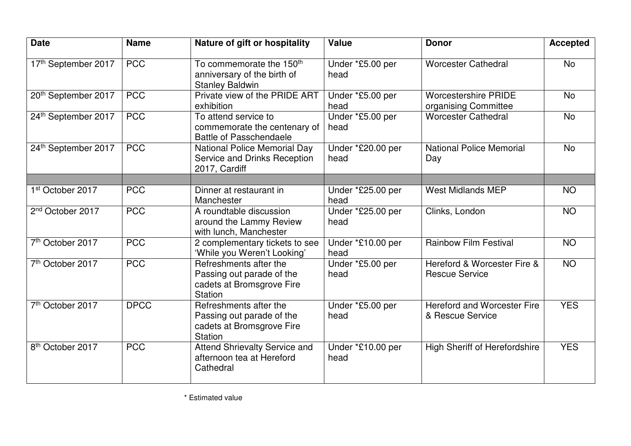| <b>Date</b>                  | <b>Name</b> | Nature of gift or hospitality                                                                 | <b>Value</b>              | <b>Donor</b>                                         | <b>Accepted</b> |
|------------------------------|-------------|-----------------------------------------------------------------------------------------------|---------------------------|------------------------------------------------------|-----------------|
| 17th September 2017          | <b>PCC</b>  | To commemorate the 150 <sup>th</sup><br>anniversary of the birth of<br><b>Stanley Baldwin</b> | Under *£5.00 per<br>head  | <b>Worcester Cathedral</b>                           | <b>No</b>       |
| 20th September 2017          | <b>PCC</b>  | Private view of the PRIDE ART<br>exhibition                                                   | Under *£5.00 per<br>head  | <b>Worcestershire PRIDE</b><br>organising Committee  | <b>No</b>       |
| 24th September 2017          | <b>PCC</b>  | To attend service to<br>commemorate the centenary of<br><b>Battle of Passchendaele</b>        | Under *£5.00 per<br>head  | <b>Worcester Cathedral</b>                           | <b>No</b>       |
| 24th September 2017          | <b>PCC</b>  | <b>National Police Memorial Day</b><br>Service and Drinks Reception<br>2017, Cardiff          | Under *£20.00 per<br>head | <b>National Police Memorial</b><br>Day               | <b>No</b>       |
| 1st October 2017             | <b>PCC</b>  | Dinner at restaurant in<br>Manchester                                                         | Under *£25.00 per<br>head | <b>West Midlands MEP</b>                             | <b>NO</b>       |
| 2 <sup>nd</sup> October 2017 | <b>PCC</b>  | A roundtable discussion<br>around the Lammy Review<br>with lunch, Manchester                  | Under *£25.00 per<br>head | Clinks, London                                       | <b>NO</b>       |
| 7th October 2017             | <b>PCC</b>  | 2 complementary tickets to see<br>'While you Weren't Looking'                                 | Under *£10.00 per<br>head | <b>Rainbow Film Festival</b>                         | <b>NO</b>       |
| 7 <sup>th</sup> October 2017 | <b>PCC</b>  | Refreshments after the<br>Passing out parade of the<br>cadets at Bromsgrove Fire<br>Station   | Under *£5.00 per<br>head  | Hereford & Worcester Fire &<br><b>Rescue Service</b> | N <sub>O</sub>  |
| 7th October 2017             | <b>DPCC</b> | Refreshments after the<br>Passing out parade of the<br>cadets at Bromsgrove Fire<br>Station   | Under *£5.00 per<br>head  | Hereford and Worcester Fire<br>& Rescue Service      | <b>YES</b>      |
| 8 <sup>th</sup> October 2017 | <b>PCC</b>  | <b>Attend Shrievalty Service and</b><br>afternoon tea at Hereford<br>Cathedral                | Under *£10.00 per<br>head | <b>High Sheriff of Herefordshire</b>                 | <b>YES</b>      |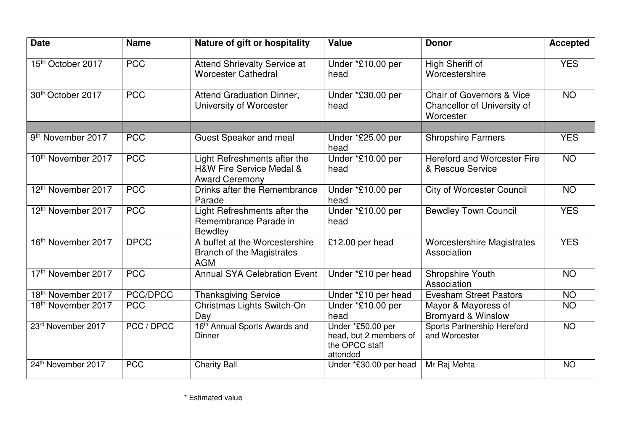| <b>Date</b>                   | <b>Name</b>       | Nature of gift or hospitality                                                     | <b>Value</b>                                                              | <b>Donor</b>                                                                     | <b>Accepted</b> |
|-------------------------------|-------------------|-----------------------------------------------------------------------------------|---------------------------------------------------------------------------|----------------------------------------------------------------------------------|-----------------|
| 15th October 2017             | <b>PCC</b>        | <b>Attend Shrievalty Service at</b><br><b>Worcester Cathedral</b>                 | Under *£10.00 per<br>head                                                 | High Sheriff of<br>Worcestershire                                                | <b>YES</b>      |
| 30th October 2017             | <b>PCC</b>        | Attend Graduation Dinner,<br>University of Worcester                              | Under *£30.00 per<br>head                                                 | <b>Chair of Governors &amp; Vice</b><br>Chancellor of University of<br>Worcester | N <sub>O</sub>  |
|                               |                   |                                                                                   |                                                                           |                                                                                  |                 |
| 9 <sup>th</sup> November 2017 | <b>PCC</b>        | <b>Guest Speaker and meal</b>                                                     | Under *£25.00 per<br>head                                                 | <b>Shropshire Farmers</b>                                                        | <b>YES</b>      |
| 10th November 2017            | <b>PCC</b>        | Light Refreshments after the<br>H&W Fire Service Medal &<br><b>Award Ceremony</b> | Under *£10.00 per<br>head                                                 | <b>Hereford and Worcester Fire</b><br>& Rescue Service                           | <b>NO</b>       |
| 12th November 2017            | <b>PCC</b>        | Drinks after the Remembrance<br>Parade                                            | Under *£10.00 per<br>head                                                 | <b>City of Worcester Council</b>                                                 | <b>NO</b>       |
| 12th November 2017            | <b>PCC</b>        | Light Refreshments after the<br>Remembrance Parade in<br><b>Bewdley</b>           | Under *£10.00 per<br>head                                                 | <b>Bewdley Town Council</b>                                                      | <b>YES</b>      |
| 16th November 2017            | <b>DPCC</b>       | A buffet at the Worcestershire<br><b>Branch of the Magistrates</b><br><b>AGM</b>  | £12.00 per head                                                           | <b>Worcestershire Magistrates</b><br>Association                                 | <b>YES</b>      |
| 17th November 2017            | <b>PCC</b>        | <b>Annual SYA Celebration Event</b>                                               | Under *£10 per head                                                       | Shropshire Youth<br>Association                                                  | <b>NO</b>       |
| 18th November 2017            | PCC/DPCC          | <b>Thanksgiving Service</b>                                                       | Under *£10 per head                                                       | <b>Evesham Street Pastors</b>                                                    | <b>NO</b>       |
| 18th November 2017            | <b>PCC</b>        | Christmas Lights Switch-On<br>Day                                                 | Under *£10.00 per<br>head                                                 | Mayor & Mayoress of<br><b>Bromyard &amp; Winslow</b>                             | <b>NO</b>       |
| 23rd November 2017            | <b>PCC / DPCC</b> | 16 <sup>th</sup> Annual Sports Awards and<br>Dinner                               | Under *£50.00 per<br>head, but 2 members of<br>the OPCC staff<br>attended | Sports Partnership Hereford<br>and Worcester                                     | <b>NO</b>       |
| 24th November 2017            | <b>PCC</b>        | <b>Charity Ball</b>                                                               | Under *£30.00 per head                                                    | Mr Raj Mehta                                                                     | N <sub>O</sub>  |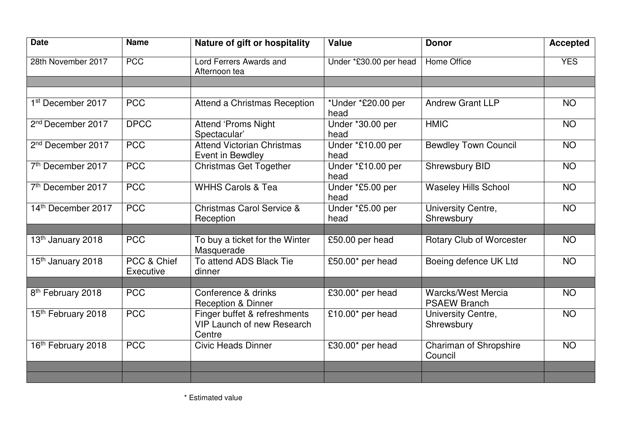| <b>Date</b>                    | <b>Name</b>              | Nature of gift or hospitality                                               | <b>Value</b>               | <b>Donor</b>                                     | <b>Accepted</b> |
|--------------------------------|--------------------------|-----------------------------------------------------------------------------|----------------------------|--------------------------------------------------|-----------------|
| 28th November 2017             | <b>PCC</b>               | Lord Ferrers Awards and<br>Afternoon tea                                    | Under *£30.00 per head     | <b>Home Office</b>                               | <b>YES</b>      |
|                                |                          |                                                                             |                            |                                                  |                 |
| 1st December 2017              | <b>PCC</b>               | Attend a Christmas Reception                                                | *Under *£20.00 per<br>head | <b>Andrew Grant LLP</b>                          | <b>NO</b>       |
| 2 <sup>nd</sup> December 2017  | <b>DPCC</b>              | Attend 'Proms Night<br>Spectacular'                                         | Under *30.00 per<br>head   | <b>HMIC</b>                                      | <b>NO</b>       |
| 2 <sup>nd</sup> December 2017  | <b>PCC</b>               | <b>Attend Victorian Christmas</b><br>Event in Bewdley                       | Under *£10.00 per<br>head  | <b>Bewdley Town Council</b>                      | <b>NO</b>       |
| 7 <sup>th</sup> December 2017  | $\overline{PCC}$         | <b>Christmas Get Together</b>                                               | Under *£10.00 per<br>head  | Shrewsbury BID                                   | <b>NO</b>       |
| $7th$ December 2017            | <b>PCC</b>               | <b>WHHS Carols &amp; Tea</b>                                                | Under *£5.00 per<br>head   | <b>Waseley Hills School</b>                      | <b>NO</b>       |
| 14th December 2017             | <b>PCC</b>               | <b>Christmas Carol Service &amp;</b><br>Reception                           | Under *£5.00 per<br>head   | University Centre,<br>Shrewsbury                 | <b>NO</b>       |
|                                |                          |                                                                             |                            |                                                  |                 |
| 13th January 2018              | <b>PCC</b>               | To buy a ticket for the Winter<br>Masquerade                                | £50.00 per head            | Rotary Club of Worcester                         | <b>NO</b>       |
| 15th January 2018              | PCC & Chief<br>Executive | To attend ADS Black Tie<br>dinner                                           | £50.00* per head           | Boeing defence UK Ltd                            | <b>NO</b>       |
|                                |                          |                                                                             |                            |                                                  |                 |
| 8 <sup>th</sup> February 2018  | <b>PCC</b>               | Conference & drinks<br><b>Reception &amp; Dinner</b>                        | £30.00* per head           | <b>Warcks/West Mercia</b><br><b>PSAEW Branch</b> | <b>NO</b>       |
| 15th February 2018             | <b>PCC</b>               | Finger buffet & refreshments<br><b>VIP Launch of new Research</b><br>Centre | £10.00* per head           | University Centre,<br>Shrewsbury                 | <b>NO</b>       |
| 16 <sup>th</sup> February 2018 | <b>PCC</b>               | <b>Civic Heads Dinner</b>                                                   | £30.00* per head           | Chariman of Shropshire<br>Council                | <b>NO</b>       |
|                                |                          |                                                                             |                            |                                                  |                 |
|                                |                          |                                                                             |                            |                                                  |                 |